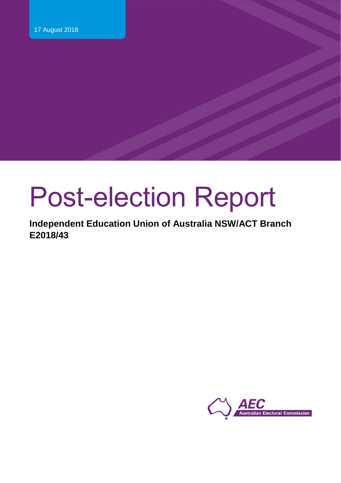# Post-election Report

**Independent Education Union of Australia NSW/ACT Branch E2018/43**

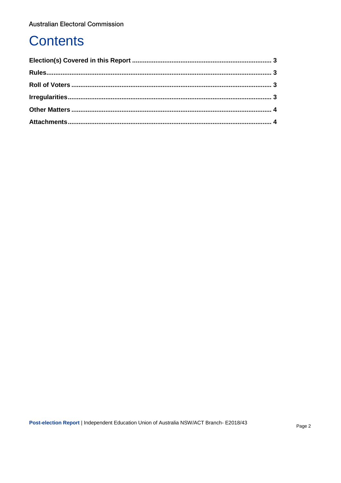## **Contents**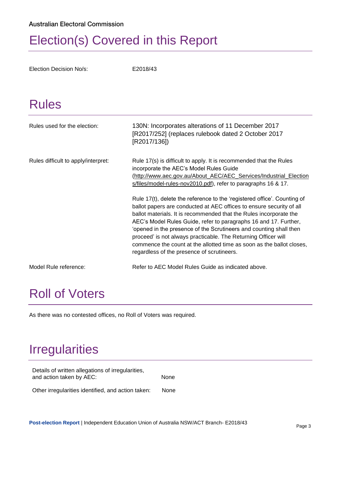## <span id="page-2-0"></span>Election(s) Covered in this Report

Election Decision No/s: E2018/43

## <span id="page-2-1"></span>Rules

| Rules used for the election:        | 130N: Incorporates alterations of 11 December 2017<br>[R2017/252] (replaces rulebook dated 2 October 2017<br>[R2017/136])                                                                                                                                                                                                                                                                                                                                                                                                                                 |
|-------------------------------------|-----------------------------------------------------------------------------------------------------------------------------------------------------------------------------------------------------------------------------------------------------------------------------------------------------------------------------------------------------------------------------------------------------------------------------------------------------------------------------------------------------------------------------------------------------------|
| Rules difficult to apply/interpret: | Rule 17(s) is difficult to apply. It is recommended that the Rules<br>incorporate the AEC's Model Rules Guide<br>(http://www.aec.gov.au/About_AEC/AEC_Services/Industrial_Election<br>s/files/model-rules-nov2010.pdf), refer to paragraphs 16 & 17.                                                                                                                                                                                                                                                                                                      |
|                                     | Rule 17(t), delete the reference to the 'registered office'. Counting of<br>ballot papers are conducted at AEC offices to ensure security of all<br>ballot materials. It is recommended that the Rules incorporate the<br>AEC's Model Rules Guide, refer to paragraphs 16 and 17. Further,<br>'opened in the presence of the Scrutineers and counting shall then<br>proceed' is not always practicable. The Returning Officer will<br>commence the count at the allotted time as soon as the ballot closes,<br>regardless of the presence of scrutineers. |
| Model Rule reference:               | Refer to AEC Model Rules Guide as indicated above.                                                                                                                                                                                                                                                                                                                                                                                                                                                                                                        |

## <span id="page-2-2"></span>Roll of Voters

As there was no contested offices, no Roll of Voters was required.

## <span id="page-2-3"></span>Irregularities

| Details of written allegations of irregularities,<br>and action taken by AEC: | <b>None</b> |
|-------------------------------------------------------------------------------|-------------|
| Other irregularities identified, and action taken:                            | None        |

**Post-election Report** | Independent Education Union of Australia NSW/ACT Branch- E2018/43 Page 3